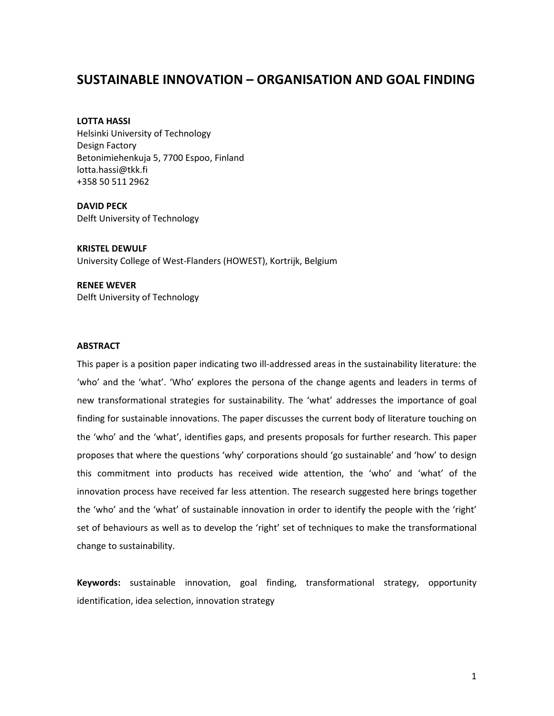# SUSTAINABLE INNOVATION – ORGANISATION AND GOAL FINDING

LOTTA HASSI Helsinki University of Technology Design Factory Betonimiehenkuja 5, 7700 Espoo, Finland lotta.hassi@tkk.fi +358 50 511 2962

DAVID PECK Delft University of Technology

KRISTEL DEWULF University College of West-Flanders (HOWEST), Kortrijk, Belgium

RENEE WEVER Delft University of Technology

#### **ABSTRACT**

This paper is a position paper indicating two ill-addressed areas in the sustainability literature: the 'who' and the 'what'. 'Who' explores the persona of the change agents and leaders in terms of new transformational strategies for sustainability. The 'what' addresses the importance of goal finding for sustainable innovations. The paper discusses the current body of literature touching on the 'who' and the 'what', identifies gaps, and presents proposals for further research. This paper proposes that where the questions 'why' corporations should 'go sustainable' and 'how' to design this commitment into products has received wide attention, the 'who' and 'what' of the innovation process have received far less attention. The research suggested here brings together the 'who' and the 'what' of sustainable innovation in order to identify the people with the 'right' set of behaviours as well as to develop the 'right' set of techniques to make the transformational change to sustainability.

Keywords: sustainable innovation, goal finding, transformational strategy, opportunity identification, idea selection, innovation strategy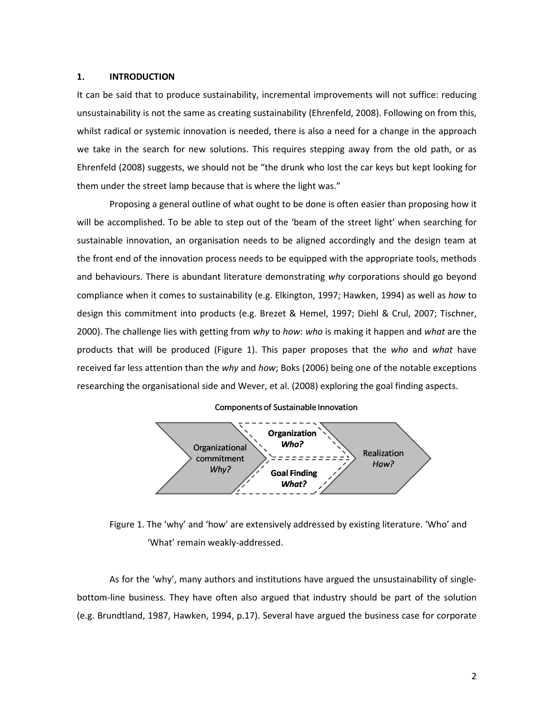### 1. INTRODUCTION

It can be said that to produce sustainability, incremental improvements will not suffice: reducing unsustainability is not the same as creating sustainability (Ehrenfeld, 2008). Following on from this, whilst radical or systemic innovation is needed, there is also a need for a change in the approach we take in the search for new solutions. This requires stepping away from the old path, or as Ehrenfeld (2008) suggests, we should not be "the drunk who lost the car keys but kept looking for them under the street lamp because that is where the light was."

Proposing a general outline of what ought to be done is often easier than proposing how it will be accomplished. To be able to step out of the 'beam of the street light' when searching for sustainable innovation, an organisation needs to be aligned accordingly and the design team at the front end of the innovation process needs to be equipped with the appropriate tools, methods and behaviours. There is abundant literature demonstrating why corporations should go beyond compliance when it comes to sustainability (e.g. Elkington, 1997; Hawken, 1994) as well as how to design this commitment into products (e.g. Brezet & Hemel, 1997; Diehl & Crul, 2007; Tischner, 2000). The challenge lies with getting from why to how: who is making it happen and what are the products that will be produced (Figure 1). This paper proposes that the who and what have received far less attention than the why and how; Boks (2006) being one of the notable exceptions researching the organisational side and Wever, et al. (2008) exploring the goal finding aspects.

#### Components of Sustainable Innovation



Figure 1. The 'why' and 'how' are extensively addressed by existing literature. 'Who' and 'What' remain weakly-addressed.

As for the 'why', many authors and institutions have argued the unsustainability of singlebottom-line business. They have often also argued that industry should be part of the solution (e.g. Brundtland, 1987, Hawken, 1994, p.17). Several have argued the business case for corporate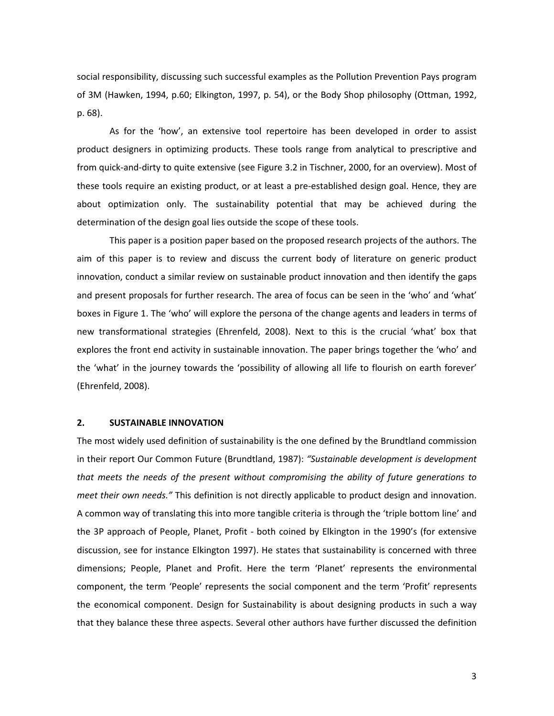social responsibility, discussing such successful examples as the Pollution Prevention Pays program of 3M (Hawken, 1994, p.60; Elkington, 1997, p. 54), or the Body Shop philosophy (Ottman, 1992, p. 68).

As for the 'how', an extensive tool repertoire has been developed in order to assist product designers in optimizing products. These tools range from analytical to prescriptive and from quick-and-dirty to quite extensive (see Figure 3.2 in Tischner, 2000, for an overview). Most of these tools require an existing product, or at least a pre-established design goal. Hence, they are about optimization only. The sustainability potential that may be achieved during the determination of the design goal lies outside the scope of these tools.

This paper is a position paper based on the proposed research projects of the authors. The aim of this paper is to review and discuss the current body of literature on generic product innovation, conduct a similar review on sustainable product innovation and then identify the gaps and present proposals for further research. The area of focus can be seen in the 'who' and 'what' boxes in Figure 1. The 'who' will explore the persona of the change agents and leaders in terms of new transformational strategies (Ehrenfeld, 2008). Next to this is the crucial 'what' box that explores the front end activity in sustainable innovation. The paper brings together the 'who' and the 'what' in the journey towards the 'possibility of allowing all life to flourish on earth forever' (Ehrenfeld, 2008).

## 2. SUSTAINABLE INNOVATION

The most widely used definition of sustainability is the one defined by the Brundtland commission in their report Our Common Future (Brundtland, 1987): "Sustainable development is development that meets the needs of the present without compromising the ability of future generations to meet their own needs." This definition is not directly applicable to product design and innovation. A common way of translating this into more tangible criteria is through the 'triple bottom line' and the 3P approach of People, Planet, Profit - both coined by Elkington in the 1990's (for extensive discussion, see for instance Elkington 1997). He states that sustainability is concerned with three dimensions; People, Planet and Profit. Here the term 'Planet' represents the environmental component, the term 'People' represents the social component and the term 'Profit' represents the economical component. Design for Sustainability is about designing products in such a way that they balance these three aspects. Several other authors have further discussed the definition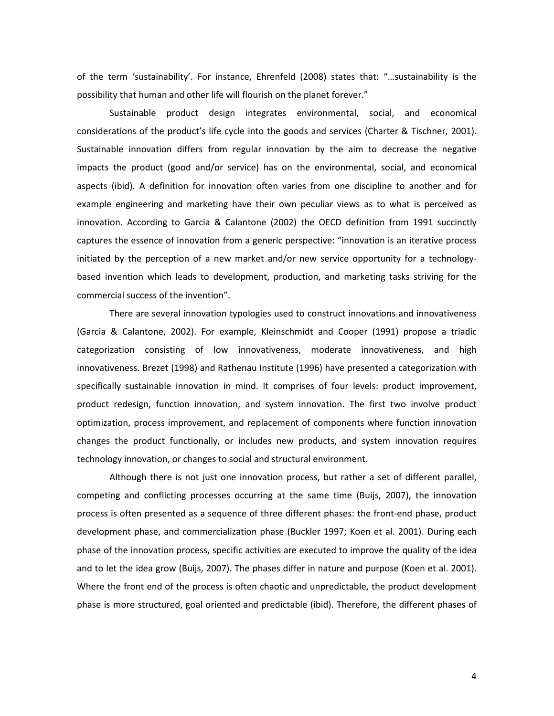of the term 'sustainability'. For instance, Ehrenfeld (2008) states that: "…sustainability is the possibility that human and other life will flourish on the planet forever."

Sustainable product design integrates environmental, social, and economical considerations of the product's life cycle into the goods and services (Charter & Tischner, 2001). Sustainable innovation differs from regular innovation by the aim to decrease the negative impacts the product (good and/or service) has on the environmental, social, and economical aspects (ibid). A definition for innovation often varies from one discipline to another and for example engineering and marketing have their own peculiar views as to what is perceived as innovation. According to Garcia & Calantone (2002) the OECD definition from 1991 succinctly captures the essence of innovation from a generic perspective: "innovation is an iterative process initiated by the perception of a new market and/or new service opportunity for a technologybased invention which leads to development, production, and marketing tasks striving for the commercial success of the invention".

There are several innovation typologies used to construct innovations and innovativeness (Garcia & Calantone, 2002). For example, Kleinschmidt and Cooper (1991) propose a triadic categorization consisting of low innovativeness, moderate innovativeness, and high innovativeness. Brezet (1998) and Rathenau Institute (1996) have presented a categorization with specifically sustainable innovation in mind. It comprises of four levels: product improvement, product redesign, function innovation, and system innovation. The first two involve product optimization, process improvement, and replacement of components where function innovation changes the product functionally, or includes new products, and system innovation requires technology innovation, or changes to social and structural environment.

Although there is not just one innovation process, but rather a set of different parallel, competing and conflicting processes occurring at the same time (Buijs, 2007), the innovation process is often presented as a sequence of three different phases: the front-end phase, product development phase, and commercialization phase (Buckler 1997; Koen et al. 2001). During each phase of the innovation process, specific activities are executed to improve the quality of the idea and to let the idea grow (Buijs, 2007). The phases differ in nature and purpose (Koen et al. 2001). Where the front end of the process is often chaotic and unpredictable, the product development phase is more structured, goal oriented and predictable (ibid). Therefore, the different phases of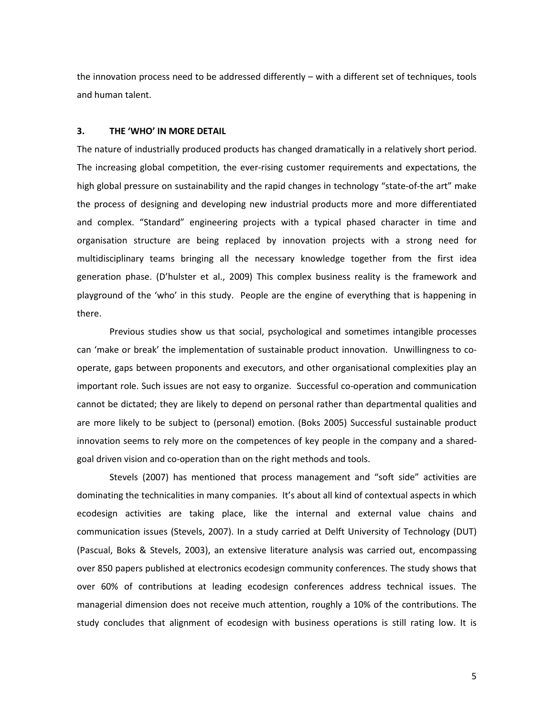the innovation process need to be addressed differently – with a different set of techniques, tools and human talent.

## 3. THE 'WHO' IN MORE DETAIL

The nature of industrially produced products has changed dramatically in a relatively short period. The increasing global competition, the ever-rising customer requirements and expectations, the high global pressure on sustainability and the rapid changes in technology "state-of-the art" make the process of designing and developing new industrial products more and more differentiated and complex. "Standard" engineering projects with a typical phased character in time and organisation structure are being replaced by innovation projects with a strong need for multidisciplinary teams bringing all the necessary knowledge together from the first idea generation phase. (D'hulster et al., 2009) This complex business reality is the framework and playground of the 'who' in this study. People are the engine of everything that is happening in there.

Previous studies show us that social, psychological and sometimes intangible processes can 'make or break' the implementation of sustainable product innovation. Unwillingness to cooperate, gaps between proponents and executors, and other organisational complexities play an important role. Such issues are not easy to organize. Successful co-operation and communication cannot be dictated; they are likely to depend on personal rather than departmental qualities and are more likely to be subject to (personal) emotion. (Boks 2005) Successful sustainable product innovation seems to rely more on the competences of key people in the company and a sharedgoal driven vision and co-operation than on the right methods and tools.

Stevels (2007) has mentioned that process management and "soft side" activities are dominating the technicalities in many companies. It's about all kind of contextual aspects in which ecodesign activities are taking place, like the internal and external value chains and communication issues (Stevels, 2007). In a study carried at Delft University of Technology (DUT) (Pascual, Boks & Stevels, 2003), an extensive literature analysis was carried out, encompassing over 850 papers published at electronics ecodesign community conferences. The study shows that over 60% of contributions at leading ecodesign conferences address technical issues. The managerial dimension does not receive much attention, roughly a 10% of the contributions. The study concludes that alignment of ecodesign with business operations is still rating low. It is

5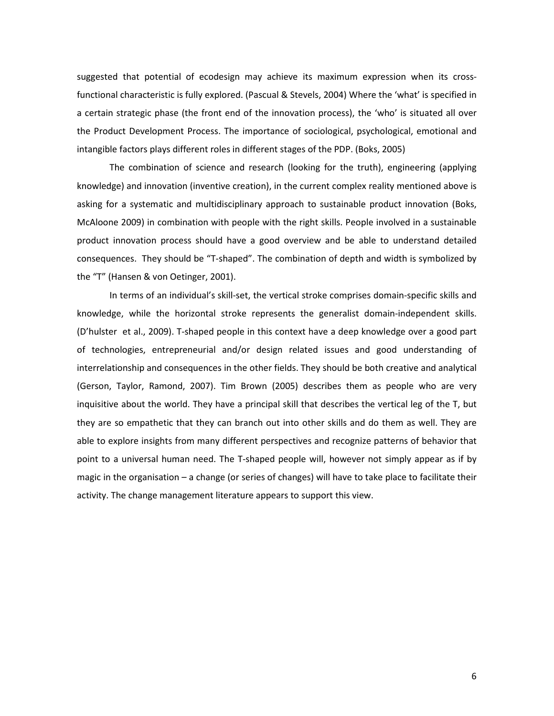suggested that potential of ecodesign may achieve its maximum expression when its crossfunctional characteristic is fully explored. (Pascual & Stevels, 2004) Where the 'what' is specified in a certain strategic phase (the front end of the innovation process), the 'who' is situated all over the Product Development Process. The importance of sociological, psychological, emotional and intangible factors plays different roles in different stages of the PDP. (Boks, 2005)

The combination of science and research (looking for the truth), engineering (applying knowledge) and innovation (inventive creation), in the current complex reality mentioned above is asking for a systematic and multidisciplinary approach to sustainable product innovation (Boks, McAloone 2009) in combination with people with the right skills. People involved in a sustainable product innovation process should have a good overview and be able to understand detailed consequences. They should be "T-shaped". The combination of depth and width is symbolized by the "T" (Hansen & von Oetinger, 2001).

In terms of an individual's skill-set, the vertical stroke comprises domain-specific skills and knowledge, while the horizontal stroke represents the generalist domain-independent skills. (D'hulster et al., 2009). T-shaped people in this context have a deep knowledge over a good part of technologies, entrepreneurial and/or design related issues and good understanding of interrelationship and consequences in the other fields. They should be both creative and analytical (Gerson, Taylor, Ramond, 2007). Tim Brown (2005) describes them as people who are very inquisitive about the world. They have a principal skill that describes the vertical leg of the T, but they are so empathetic that they can branch out into other skills and do them as well. They are able to explore insights from many different perspectives and recognize patterns of behavior that point to a universal human need. The T-shaped people will, however not simply appear as if by magic in the organisation – a change (or series of changes) will have to take place to facilitate their activity. The change management literature appears to support this view.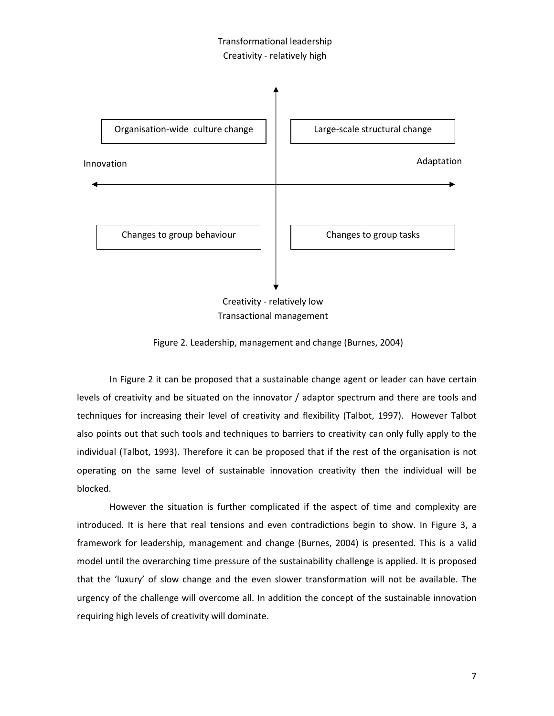## Transformational leadership Creativity - relatively high



Creativity - relatively low Transactional management

Figure 2. Leadership, management and change (Burnes, 2004)

In Figure 2 it can be proposed that a sustainable change agent or leader can have certain levels of creativity and be situated on the innovator / adaptor spectrum and there are tools and techniques for increasing their level of creativity and flexibility (Talbot, 1997). However Talbot also points out that such tools and techniques to barriers to creativity can only fully apply to the individual (Talbot, 1993). Therefore it can be proposed that if the rest of the organisation is not operating on the same level of sustainable innovation creativity then the individual will be blocked.

However the situation is further complicated if the aspect of time and complexity are introduced. It is here that real tensions and even contradictions begin to show. In Figure 3, a framework for leadership, management and change (Burnes, 2004) is presented. This is a valid model until the overarching time pressure of the sustainability challenge is applied. It is proposed that the 'luxury' of slow change and the even slower transformation will not be available. The urgency of the challenge will overcome all. In addition the concept of the sustainable innovation requiring high levels of creativity will dominate.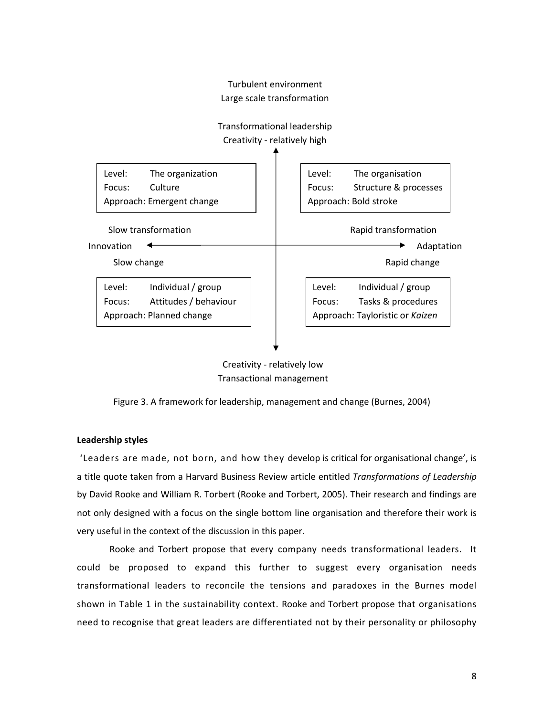



Figure 3. A framework for leadership, management and change (Burnes, 2004)

## Leadership styles

 'Leaders are made, not born, and how they develop is critical for organisational change', is a title quote taken from a Harvard Business Review article entitled Transformations of Leadership by David Rooke and William R. Torbert (Rooke and Torbert, 2005). Their research and findings are not only designed with a focus on the single bottom line organisation and therefore their work is very useful in the context of the discussion in this paper.

Rooke and Torbert propose that every company needs transformational leaders. It could be proposed to expand this further to suggest every organisation needs transformational leaders to reconcile the tensions and paradoxes in the Burnes model shown in Table 1 in the sustainability context. Rooke and Torbert propose that organisations need to recognise that great leaders are differentiated not by their personality or philosophy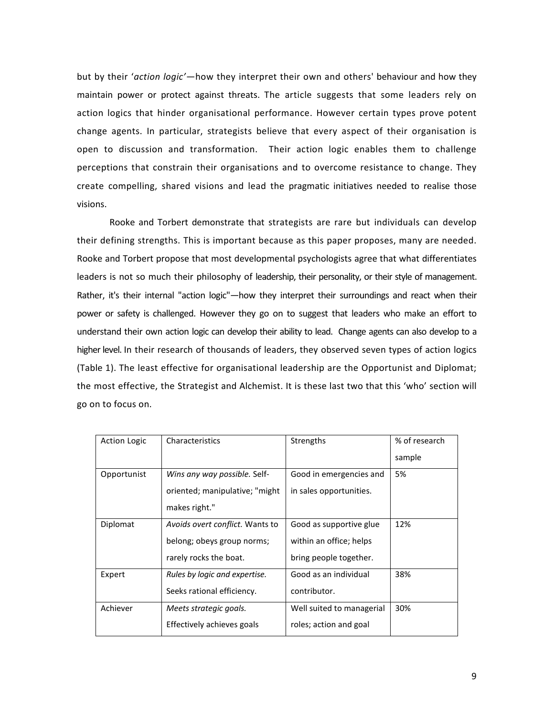but by their 'action logic'—how they interpret their own and others' behaviour and how they maintain power or protect against threats. The article suggests that some leaders rely on action logics that hinder organisational performance. However certain types prove potent change agents. In particular, strategists believe that every aspect of their organisation is open to discussion and transformation. Their action logic enables them to challenge perceptions that constrain their organisations and to overcome resistance to change. They create compelling, shared visions and lead the pragmatic initiatives needed to realise those visions.

Rooke and Torbert demonstrate that strategists are rare but individuals can develop their defining strengths. This is important because as this paper proposes, many are needed. Rooke and Torbert propose that most developmental psychologists agree that what differentiates leaders is not so much their philosophy of leadership, their personality, or their style of management. Rather, it's their internal "action logic"—how they interpret their surroundings and react when their power or safety is challenged. However they go on to suggest that leaders who make an effort to understand their own action logic can develop their ability to lead. Change agents can also develop to a higher level. In their research of thousands of leaders, they observed seven types of action logics (Table 1). The least effective for organisational leadership are the Opportunist and Diplomat; the most effective, the Strategist and Alchemist. It is these last two that this 'who' section will go on to focus on.

| <b>Action Logic</b> | Characteristics                 | Strengths                 | % of research |
|---------------------|---------------------------------|---------------------------|---------------|
|                     |                                 |                           | sample        |
| Opportunist         | Wins any way possible. Self-    | Good in emergencies and   | 5%            |
|                     | oriented; manipulative; "might" | in sales opportunities.   |               |
|                     | makes right."                   |                           |               |
| Diplomat            | Avoids overt conflict. Wants to | Good as supportive glue   | 12%           |
|                     | belong; obeys group norms;      | within an office; helps   |               |
|                     | rarely rocks the boat.          | bring people together.    |               |
| Expert              | Rules by logic and expertise.   | Good as an individual     | 38%           |
|                     | Seeks rational efficiency.      | contributor.              |               |
| Achiever            | Meets strategic goals.          | Well suited to managerial | 30%           |
|                     | Effectively achieves goals      | roles; action and goal    |               |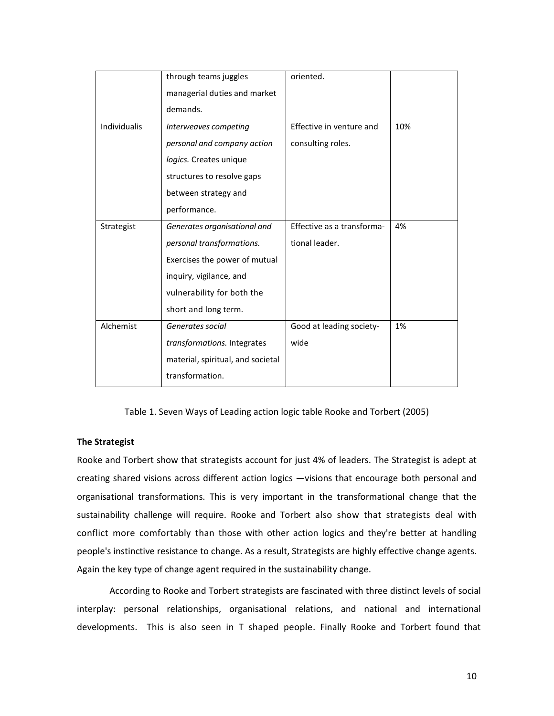|              | through teams juggles             | oriented.                  |     |
|--------------|-----------------------------------|----------------------------|-----|
|              | managerial duties and market      |                            |     |
|              | demands.                          |                            |     |
| Individualis | Interweaves competing             | Effective in venture and   | 10% |
|              | personal and company action       | consulting roles.          |     |
|              | logics. Creates unique            |                            |     |
|              | structures to resolve gaps        |                            |     |
|              | between strategy and              |                            |     |
|              | performance.                      |                            |     |
| Strategist   | Generates organisational and      | Effective as a transforma- | 4%  |
|              | personal transformations.         | tional leader.             |     |
|              | Exercises the power of mutual     |                            |     |
|              | inquiry, vigilance, and           |                            |     |
|              | vulnerability for both the        |                            |     |
|              | short and long term.              |                            |     |
| Alchemist    | Generates social                  | Good at leading society-   | 1%  |
|              | transformations. Integrates       | wide                       |     |
|              | material, spiritual, and societal |                            |     |
|              | transformation.                   |                            |     |

Table 1. Seven Ways of Leading action logic table Rooke and Torbert (2005)

## The Strategist

Rooke and Torbert show that strategists account for just 4% of leaders. The Strategist is adept at creating shared visions across different action logics —visions that encourage both personal and organisational transformations. This is very important in the transformational change that the sustainability challenge will require. Rooke and Torbert also show that strategists deal with conflict more comfortably than those with other action logics and they're better at handling people's instinctive resistance to change. As a result, Strategists are highly effective change agents. Again the key type of change agent required in the sustainability change.

According to Rooke and Torbert strategists are fascinated with three distinct levels of social interplay: personal relationships, organisational relations, and national and international developments. This is also seen in T shaped people. Finally Rooke and Torbert found that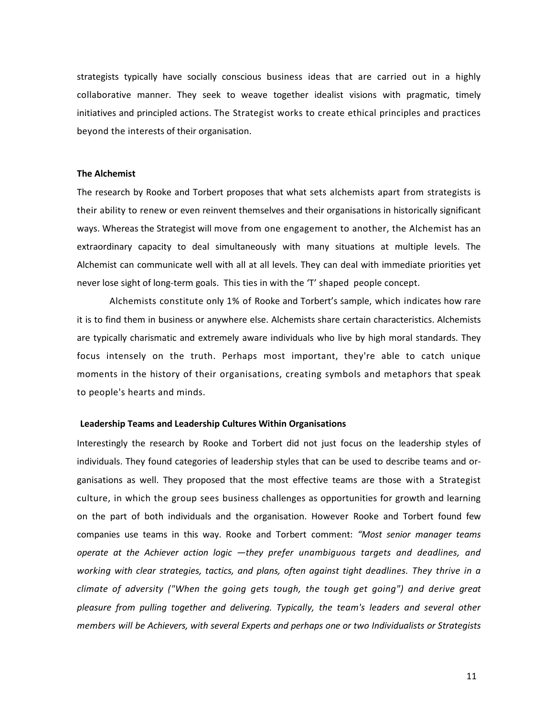strategists typically have socially conscious business ideas that are carried out in a highly collaborative manner. They seek to weave together idealist visions with pragmatic, timely initiatives and principled actions. The Strategist works to create ethical principles and practices beyond the interests of their organisation.

#### The Alchemist

The research by Rooke and Torbert proposes that what sets alchemists apart from strategists is their ability to renew or even reinvent themselves and their organisations in historically significant ways. Whereas the Strategist will move from one engagement to another, the Alchemist has an extraordinary capacity to deal simultaneously with many situations at multiple levels. The Alchemist can communicate well with all at all levels. They can deal with immediate priorities yet never lose sight of long-term goals. This ties in with the 'T' shaped people concept.

Alchemists constitute only 1% of Rooke and Torbert's sample, which indicates how rare it is to find them in business or anywhere else. Alchemists share certain characteristics. Alchemists are typically charismatic and extremely aware individuals who live by high moral standards. They focus intensely on the truth. Perhaps most important, they're able to catch unique moments in the history of their organisations, creating symbols and metaphors that speak to people's hearts and minds.

#### Leadership Teams and Leadership Cultures Within Organisations

Interestingly the research by Rooke and Torbert did not just focus on the leadership styles of individuals. They found categories of leadership styles that can be used to describe teams and organisations as well. They proposed that the most effective teams are those with a Strategist culture, in which the group sees business challenges as opportunities for growth and learning on the part of both individuals and the organisation. However Rooke and Torbert found few companies use teams in this way. Rooke and Torbert comment: "Most senior manager teams operate at the Achiever action logic —they prefer unambiguous targets and deadlines, and working with clear strategies, tactics, and plans, often against tight deadlines. They thrive in a climate of adversity ("When the going gets tough, the tough get going") and derive great pleasure from pulling together and delivering. Typically, the team's leaders and several other members will be Achievers, with several Experts and perhaps one or two Individualists or Strategists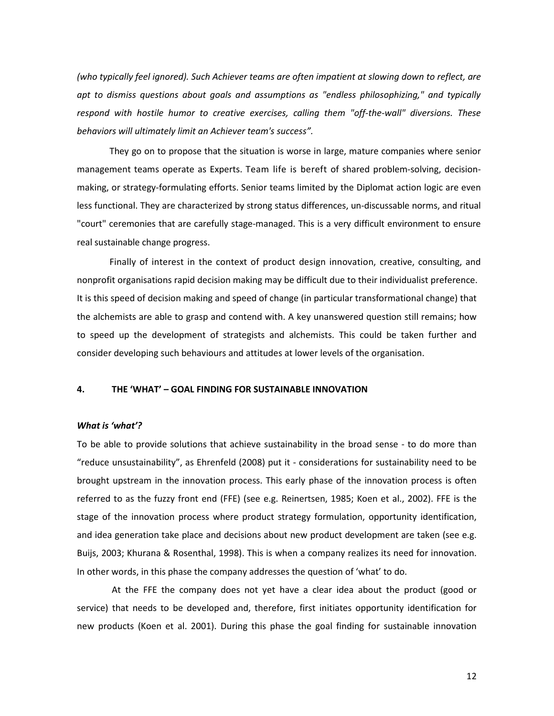(who typically feel ignored). Such Achiever teams are often impatient at slowing down to reflect, are apt to dismiss questions about goals and assumptions as "endless philosophizing," and typically respond with hostile humor to creative exercises, calling them "off-the-wall" diversions. These behaviors will ultimately limit an Achiever team's success".

They go on to propose that the situation is worse in large, mature companies where senior management teams operate as Experts. Team life is bereft of shared problem-solving, decisionmaking, or strategy-formulating efforts. Senior teams limited by the Diplomat action logic are even less functional. They are characterized by strong status differences, un-discussable norms, and ritual "court" ceremonies that are carefully stage-managed. This is a very difficult environment to ensure real sustainable change progress.

Finally of interest in the context of product design innovation, creative, consulting, and nonprofit organisations rapid decision making may be difficult due to their individualist preference. It is this speed of decision making and speed of change (in particular transformational change) that the alchemists are able to grasp and contend with. A key unanswered question still remains; how to speed up the development of strategists and alchemists. This could be taken further and consider developing such behaviours and attitudes at lower levels of the organisation.

#### 4. THE 'WHAT' – GOAL FINDING FOR SUSTAINABLE INNOVATION

#### What is 'what'?

To be able to provide solutions that achieve sustainability in the broad sense - to do more than "reduce unsustainability", as Ehrenfeld (2008) put it - considerations for sustainability need to be brought upstream in the innovation process. This early phase of the innovation process is often referred to as the fuzzy front end (FFE) (see e.g. Reinertsen, 1985; Koen et al., 2002). FFE is the stage of the innovation process where product strategy formulation, opportunity identification, and idea generation take place and decisions about new product development are taken (see e.g. Buijs, 2003; Khurana & Rosenthal, 1998). This is when a company realizes its need for innovation. In other words, in this phase the company addresses the question of 'what' to do.

 At the FFE the company does not yet have a clear idea about the product (good or service) that needs to be developed and, therefore, first initiates opportunity identification for new products (Koen et al. 2001). During this phase the goal finding for sustainable innovation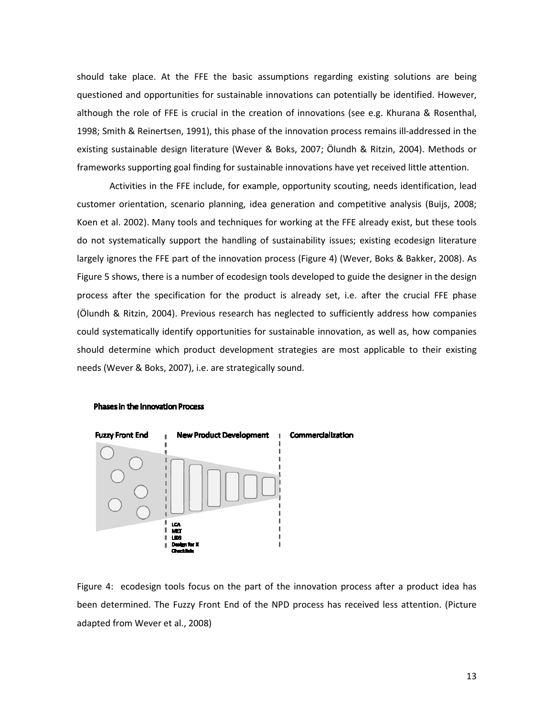should take place. At the FFE the basic assumptions regarding existing solutions are being questioned and opportunities for sustainable innovations can potentially be identified. However, although the role of FFE is crucial in the creation of innovations (see e.g. Khurana & Rosenthal, 1998; Smith & Reinertsen, 1991), this phase of the innovation process remains ill-addressed in the existing sustainable design literature (Wever & Boks, 2007; Ölundh & Ritzin, 2004). Methods or frameworks supporting goal finding for sustainable innovations have yet received little attention.

Activities in the FFE include, for example, opportunity scouting, needs identification, lead customer orientation, scenario planning, idea generation and competitive analysis (Buijs, 2008; Koen et al. 2002). Many tools and techniques for working at the FFE already exist, but these tools do not systematically support the handling of sustainability issues; existing ecodesign literature largely ignores the FFE part of the innovation process (Figure 4) (Wever, Boks & Bakker, 2008). As Figure 5 shows, there is a number of ecodesign tools developed to guide the designer in the design process after the specification for the product is already set, i.e. after the crucial FFE phase (Ölundh & Ritzin, 2004). Previous research has neglected to sufficiently address how companies could systematically identify opportunities for sustainable innovation, as well as, how companies should determine which product development strategies are most applicable to their existing needs (Wever & Boks, 2007), i.e. are strategically sound.

#### **Phases in the Innovation Process**



Figure 4: ecodesign tools focus on the part of the innovation process after a product idea has been determined. The Fuzzy Front End of the NPD process has received less attention. (Picture adapted from Wever et al., 2008)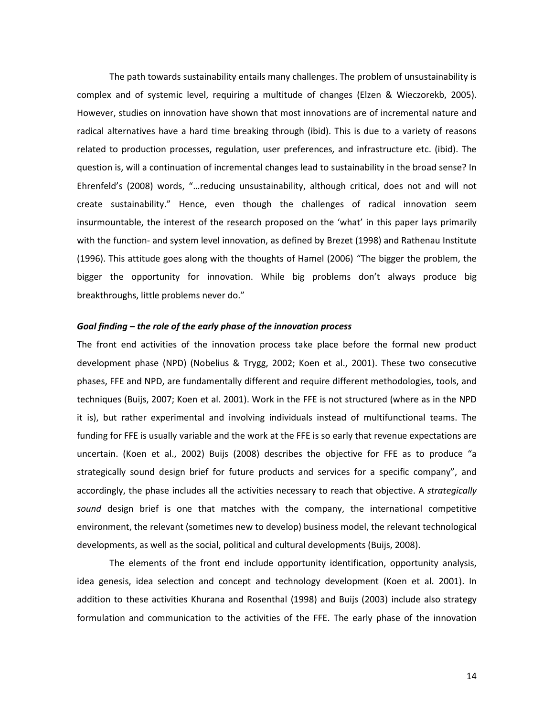The path towards sustainability entails many challenges. The problem of unsustainability is complex and of systemic level, requiring a multitude of changes (Elzen & Wieczorekb, 2005). However, studies on innovation have shown that most innovations are of incremental nature and radical alternatives have a hard time breaking through (ibid). This is due to a variety of reasons related to production processes, regulation, user preferences, and infrastructure etc. (ibid). The question is, will a continuation of incremental changes lead to sustainability in the broad sense? In Ehrenfeld's (2008) words, "…reducing unsustainability, although critical, does not and will not create sustainability." Hence, even though the challenges of radical innovation seem insurmountable, the interest of the research proposed on the 'what' in this paper lays primarily with the function- and system level innovation, as defined by Brezet (1998) and Rathenau Institute (1996). This attitude goes along with the thoughts of Hamel (2006) "The bigger the problem, the bigger the opportunity for innovation. While big problems don't always produce big breakthroughs, little problems never do."

#### Goal finding – the role of the early phase of the innovation process

The front end activities of the innovation process take place before the formal new product development phase (NPD) (Nobelius & Trygg, 2002; Koen et al., 2001). These two consecutive phases, FFE and NPD, are fundamentally different and require different methodologies, tools, and techniques (Buijs, 2007; Koen et al. 2001). Work in the FFE is not structured (where as in the NPD it is), but rather experimental and involving individuals instead of multifunctional teams. The funding for FFE is usually variable and the work at the FFE is so early that revenue expectations are uncertain. (Koen et al., 2002) Buijs (2008) describes the objective for FFE as to produce "a strategically sound design brief for future products and services for a specific company", and accordingly, the phase includes all the activities necessary to reach that objective. A strategically sound design brief is one that matches with the company, the international competitive environment, the relevant (sometimes new to develop) business model, the relevant technological developments, as well as the social, political and cultural developments (Buijs, 2008).

The elements of the front end include opportunity identification, opportunity analysis, idea genesis, idea selection and concept and technology development (Koen et al. 2001). In addition to these activities Khurana and Rosenthal (1998) and Buijs (2003) include also strategy formulation and communication to the activities of the FFE. The early phase of the innovation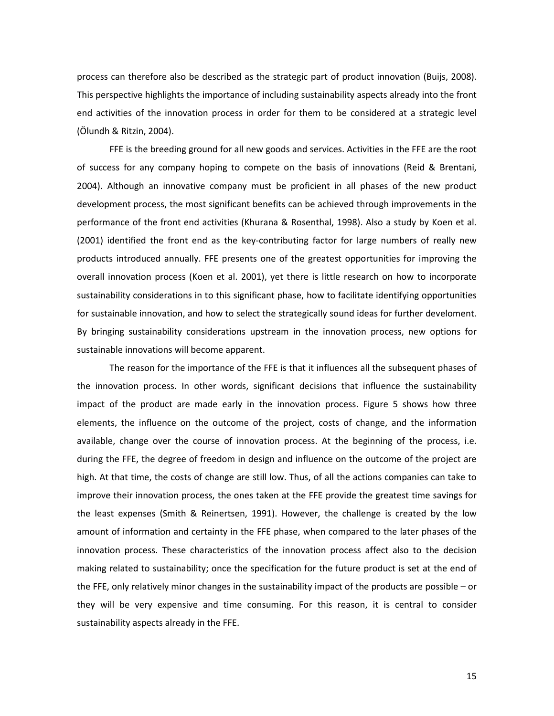process can therefore also be described as the strategic part of product innovation (Buijs, 2008). This perspective highlights the importance of including sustainability aspects already into the front end activities of the innovation process in order for them to be considered at a strategic level (Ölundh & Ritzin, 2004).

FFE is the breeding ground for all new goods and services. Activities in the FFE are the root of success for any company hoping to compete on the basis of innovations (Reid & Brentani, 2004). Although an innovative company must be proficient in all phases of the new product development process, the most significant benefits can be achieved through improvements in the performance of the front end activities (Khurana & Rosenthal, 1998). Also a study by Koen et al. (2001) identified the front end as the key-contributing factor for large numbers of really new products introduced annually. FFE presents one of the greatest opportunities for improving the overall innovation process (Koen et al. 2001), yet there is little research on how to incorporate sustainability considerations in to this significant phase, how to facilitate identifying opportunities for sustainable innovation, and how to select the strategically sound ideas for further develoment. By bringing sustainability considerations upstream in the innovation process, new options for sustainable innovations will become apparent.

The reason for the importance of the FFE is that it influences all the subsequent phases of the innovation process. In other words, significant decisions that influence the sustainability impact of the product are made early in the innovation process. Figure 5 shows how three elements, the influence on the outcome of the project, costs of change, and the information available, change over the course of innovation process. At the beginning of the process, i.e. during the FFE, the degree of freedom in design and influence on the outcome of the project are high. At that time, the costs of change are still low. Thus, of all the actions companies can take to improve their innovation process, the ones taken at the FFE provide the greatest time savings for the least expenses (Smith & Reinertsen, 1991). However, the challenge is created by the low amount of information and certainty in the FFE phase, when compared to the later phases of the innovation process. These characteristics of the innovation process affect also to the decision making related to sustainability; once the specification for the future product is set at the end of the FFE, only relatively minor changes in the sustainability impact of the products are possible – or they will be very expensive and time consuming. For this reason, it is central to consider sustainability aspects already in the FFE.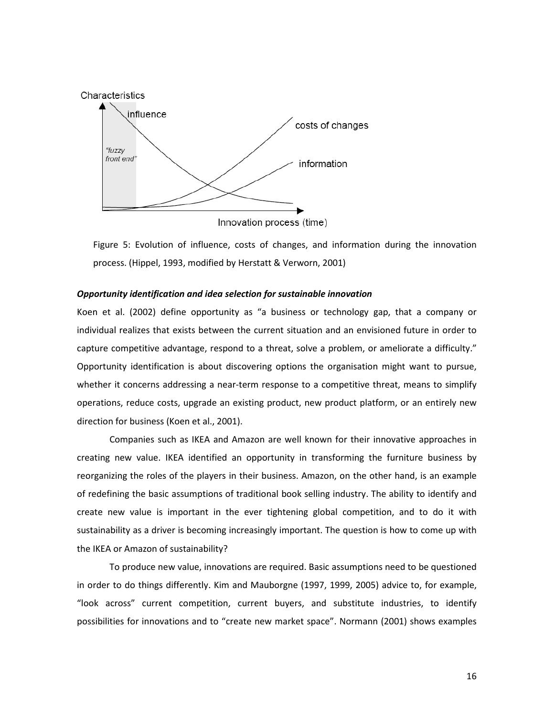

Figure 5: Evolution of influence, costs of changes, and information during the innovation process. (Hippel, 1993, modified by Herstatt & Verworn, 2001)

#### Opportunity identification and idea selection for sustainable innovation

Koen et al. (2002) define opportunity as "a business or technology gap, that a company or individual realizes that exists between the current situation and an envisioned future in order to capture competitive advantage, respond to a threat, solve a problem, or ameliorate a difficulty." Opportunity identification is about discovering options the organisation might want to pursue, whether it concerns addressing a near-term response to a competitive threat, means to simplify operations, reduce costs, upgrade an existing product, new product platform, or an entirely new direction for business (Koen et al., 2001).

Companies such as IKEA and Amazon are well known for their innovative approaches in creating new value. IKEA identified an opportunity in transforming the furniture business by reorganizing the roles of the players in their business. Amazon, on the other hand, is an example of redefining the basic assumptions of traditional book selling industry. The ability to identify and create new value is important in the ever tightening global competition, and to do it with sustainability as a driver is becoming increasingly important. The question is how to come up with the IKEA or Amazon of sustainability?

To produce new value, innovations are required. Basic assumptions need to be questioned in order to do things differently. Kim and Mauborgne (1997, 1999, 2005) advice to, for example, "look across" current competition, current buyers, and substitute industries, to identify possibilities for innovations and to "create new market space". Normann (2001) shows examples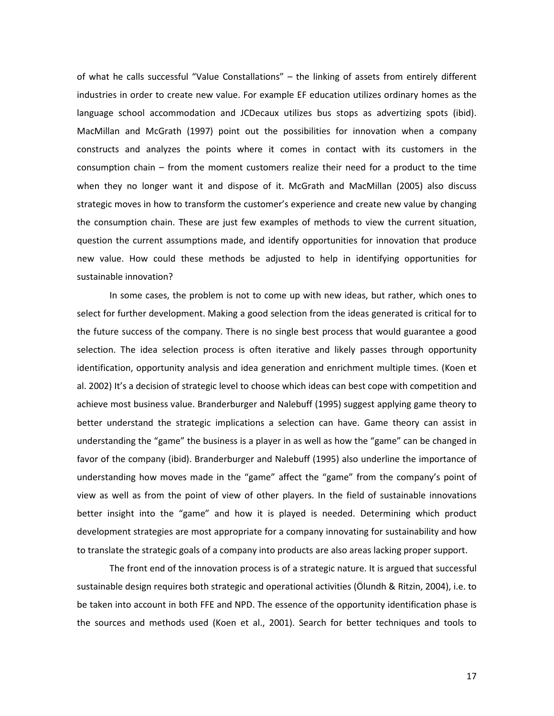of what he calls successful "Value Constallations" – the linking of assets from entirely different industries in order to create new value. For example EF education utilizes ordinary homes as the language school accommodation and JCDecaux utilizes bus stops as advertizing spots (ibid). MacMillan and McGrath (1997) point out the possibilities for innovation when a company constructs and analyzes the points where it comes in contact with its customers in the consumption chain – from the moment customers realize their need for a product to the time when they no longer want it and dispose of it. McGrath and MacMillan (2005) also discuss strategic moves in how to transform the customer's experience and create new value by changing the consumption chain. These are just few examples of methods to view the current situation, question the current assumptions made, and identify opportunities for innovation that produce new value. How could these methods be adjusted to help in identifying opportunities for sustainable innovation?

In some cases, the problem is not to come up with new ideas, but rather, which ones to select for further development. Making a good selection from the ideas generated is critical for to the future success of the company. There is no single best process that would guarantee a good selection. The idea selection process is often iterative and likely passes through opportunity identification, opportunity analysis and idea generation and enrichment multiple times. (Koen et al. 2002) It's a decision of strategic level to choose which ideas can best cope with competition and achieve most business value. Branderburger and Nalebuff (1995) suggest applying game theory to better understand the strategic implications a selection can have. Game theory can assist in understanding the "game" the business is a player in as well as how the "game" can be changed in favor of the company (ibid). Branderburger and Nalebuff (1995) also underline the importance of understanding how moves made in the "game" affect the "game" from the company's point of view as well as from the point of view of other players. In the field of sustainable innovations better insight into the "game" and how it is played is needed. Determining which product development strategies are most appropriate for a company innovating for sustainability and how to translate the strategic goals of a company into products are also areas lacking proper support.

The front end of the innovation process is of a strategic nature. It is argued that successful sustainable design requires both strategic and operational activities (Ölundh & Ritzin, 2004), i.e. to be taken into account in both FFE and NPD. The essence of the opportunity identification phase is the sources and methods used (Koen et al., 2001). Search for better techniques and tools to

17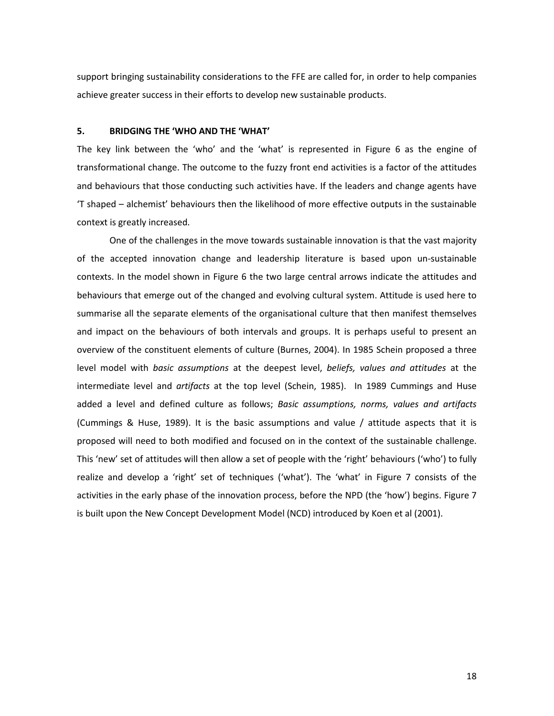support bringing sustainability considerations to the FFE are called for, in order to help companies achieve greater success in their efforts to develop new sustainable products.

## 5. BRIDGING THE 'WHO AND THE 'WHAT'

The key link between the 'who' and the 'what' is represented in Figure 6 as the engine of transformational change. The outcome to the fuzzy front end activities is a factor of the attitudes and behaviours that those conducting such activities have. If the leaders and change agents have 'T shaped – alchemist' behaviours then the likelihood of more effective outputs in the sustainable context is greatly increased.

One of the challenges in the move towards sustainable innovation is that the vast majority of the accepted innovation change and leadership literature is based upon un-sustainable contexts. In the model shown in Figure 6 the two large central arrows indicate the attitudes and behaviours that emerge out of the changed and evolving cultural system. Attitude is used here to summarise all the separate elements of the organisational culture that then manifest themselves and impact on the behaviours of both intervals and groups. It is perhaps useful to present an overview of the constituent elements of culture (Burnes, 2004). In 1985 Schein proposed a three level model with basic assumptions at the deepest level, beliefs, values and attitudes at the intermediate level and *artifacts* at the top level (Schein, 1985). In 1989 Cummings and Huse added a level and defined culture as follows; Basic assumptions, norms, values and artifacts (Cummings & Huse, 1989). It is the basic assumptions and value / attitude aspects that it is proposed will need to both modified and focused on in the context of the sustainable challenge. This 'new' set of attitudes will then allow a set of people with the 'right' behaviours ('who') to fully realize and develop a 'right' set of techniques ('what'). The 'what' in Figure 7 consists of the activities in the early phase of the innovation process, before the NPD (the 'how') begins. Figure 7 is built upon the New Concept Development Model (NCD) introduced by Koen et al (2001).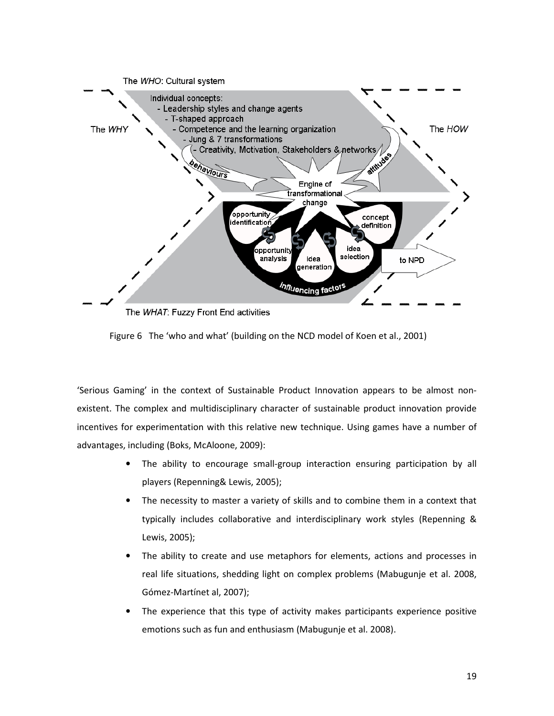

Figure 6 The 'who and what' (building on the NCD model of Koen et al., 2001)

'Serious Gaming' in the context of Sustainable Product Innovation appears to be almost nonexistent. The complex and multidisciplinary character of sustainable product innovation provide incentives for experimentation with this relative new technique. Using games have a number of advantages, including (Boks, McAloone, 2009):

- The ability to encourage small-group interaction ensuring participation by all players (Repenning& Lewis, 2005);
- The necessity to master a variety of skills and to combine them in a context that typically includes collaborative and interdisciplinary work styles (Repenning & Lewis, 2005);
- The ability to create and use metaphors for elements, actions and processes in real life situations, shedding light on complex problems (Mabugunje et al. 2008, Gómez-Martínet al, 2007);
- The experience that this type of activity makes participants experience positive emotions such as fun and enthusiasm (Mabugunje et al. 2008).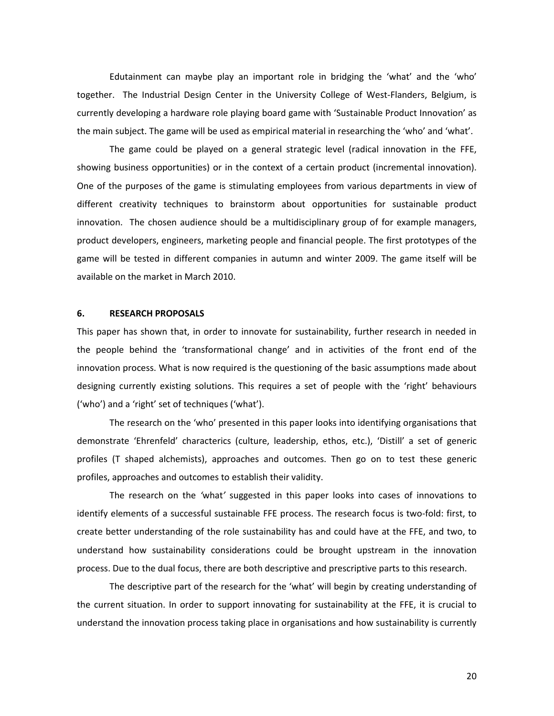Edutainment can maybe play an important role in bridging the 'what' and the 'who' together. The Industrial Design Center in the University College of West-Flanders, Belgium, is currently developing a hardware role playing board game with 'Sustainable Product Innovation' as the main subject. The game will be used as empirical material in researching the 'who' and 'what'.

The game could be played on a general strategic level (radical innovation in the FFE, showing business opportunities) or in the context of a certain product (incremental innovation). One of the purposes of the game is stimulating employees from various departments in view of different creativity techniques to brainstorm about opportunities for sustainable product innovation. The chosen audience should be a multidisciplinary group of for example managers, product developers, engineers, marketing people and financial people. The first prototypes of the game will be tested in different companies in autumn and winter 2009. The game itself will be available on the market in March 2010.

## 6. RESEARCH PROPOSALS

This paper has shown that, in order to innovate for sustainability, further research in needed in the people behind the 'transformational change' and in activities of the front end of the innovation process. What is now required is the questioning of the basic assumptions made about designing currently existing solutions. This requires a set of people with the 'right' behaviours ('who') and a 'right' set of techniques ('what').

The research on the 'who' presented in this paper looks into identifying organisations that demonstrate 'Ehrenfeld' characterics (culture, leadership, ethos, etc.), 'Distill' a set of generic profiles (T shaped alchemists), approaches and outcomes. Then go on to test these generic profiles, approaches and outcomes to establish their validity.

The research on the 'what' suggested in this paper looks into cases of innovations to identify elements of a successful sustainable FFE process. The research focus is two-fold: first, to create better understanding of the role sustainability has and could have at the FFE, and two, to understand how sustainability considerations could be brought upstream in the innovation process. Due to the dual focus, there are both descriptive and prescriptive parts to this research.

The descriptive part of the research for the 'what' will begin by creating understanding of the current situation. In order to support innovating for sustainability at the FFE, it is crucial to understand the innovation process taking place in organisations and how sustainability is currently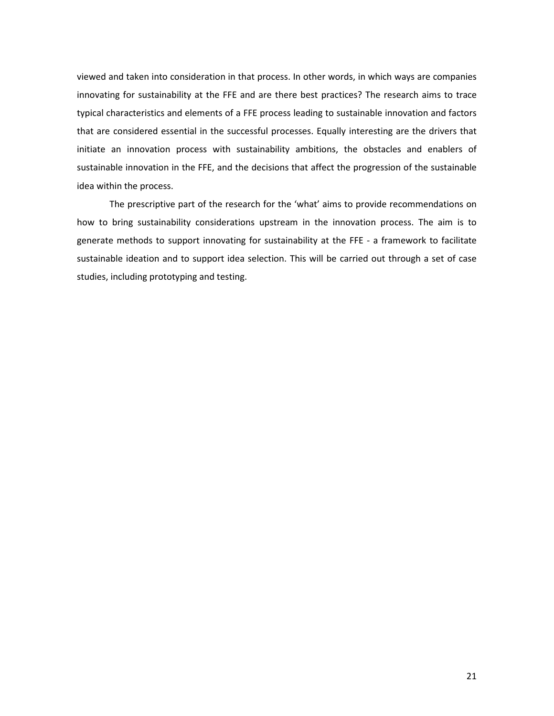viewed and taken into consideration in that process. In other words, in which ways are companies innovating for sustainability at the FFE and are there best practices? The research aims to trace typical characteristics and elements of a FFE process leading to sustainable innovation and factors that are considered essential in the successful processes. Equally interesting are the drivers that initiate an innovation process with sustainability ambitions, the obstacles and enablers of sustainable innovation in the FFE, and the decisions that affect the progression of the sustainable idea within the process.

The prescriptive part of the research for the 'what' aims to provide recommendations on how to bring sustainability considerations upstream in the innovation process. The aim is to generate methods to support innovating for sustainability at the FFE - a framework to facilitate sustainable ideation and to support idea selection. This will be carried out through a set of case studies, including prototyping and testing.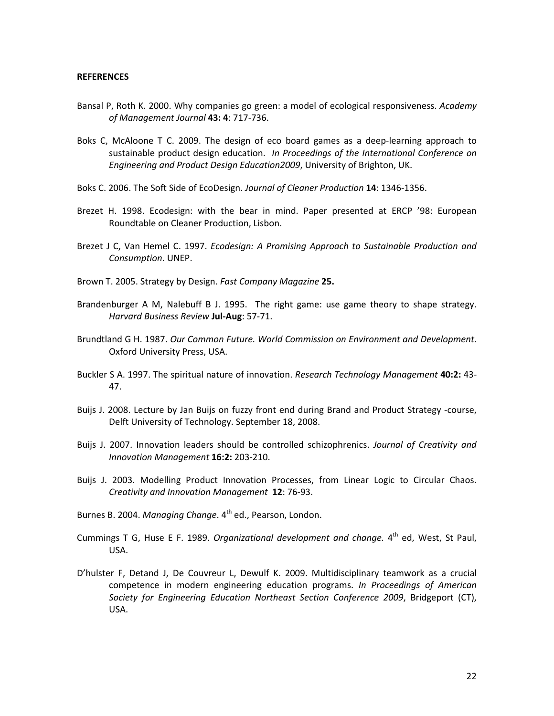#### **REFERENCES**

- Bansal P, Roth K. 2000. Why companies go green: a model of ecological responsiveness. Academy of Management Journal 43: 4: 717-736.
- Boks C, McAloone T C. 2009. The design of eco board games as a deep-learning approach to sustainable product design education. In Proceedings of the International Conference on Engineering and Product Design Education2009, University of Brighton, UK.
- Boks C. 2006. The Soft Side of EcoDesign. Journal of Cleaner Production 14: 1346-1356.
- Brezet H. 1998. Ecodesign: with the bear in mind. Paper presented at ERCP '98: European Roundtable on Cleaner Production, Lisbon.
- Brezet J C, Van Hemel C. 1997. Ecodesign: A Promising Approach to Sustainable Production and Consumption. UNEP.
- Brown T. 2005. Strategy by Design. Fast Company Magazine 25.
- Brandenburger A M, Nalebuff B J. 1995. The right game: use game theory to shape strategy. Harvard Business Review Jul-Aug: 57-71.
- Brundtland G H. 1987. Our Common Future. World Commission on Environment and Development. Oxford University Press, USA.
- Buckler S A. 1997. The spiritual nature of innovation. Research Technology Management 40:2: 43-47.
- Buijs J. 2008. Lecture by Jan Buijs on fuzzy front end during Brand and Product Strategy -course, Delft University of Technology. September 18, 2008.
- Buijs J. 2007. Innovation leaders should be controlled schizophrenics. Journal of Creativity and Innovation Management 16:2: 203-210.
- Buijs J. 2003. Modelling Product Innovation Processes, from Linear Logic to Circular Chaos. Creativity and Innovation Management 12: 76-93.
- Burnes B. 2004. Managing Change. 4<sup>th</sup> ed., Pearson, London.
- Cummings T G, Huse E F. 1989. Organizational development and change. 4<sup>th</sup> ed, West, St Paul, USA.
- D'hulster F, Detand J, De Couvreur L, Dewulf K. 2009. Multidisciplinary teamwork as a crucial competence in modern engineering education programs. In Proceedings of American Society for Engineering Education Northeast Section Conference 2009, Bridgeport (CT), USA.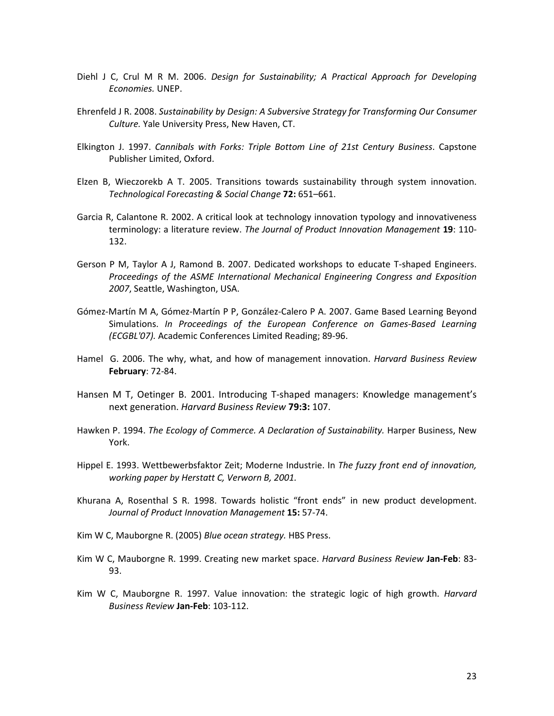- Diehl J C, Crul M R M. 2006. Design for Sustainability; A Practical Approach for Developing Economies. UNEP.
- Ehrenfeld J R. 2008. Sustainability by Design: A Subversive Strategy for Transforming Our Consumer Culture. Yale University Press, New Haven, CT.
- Elkington J. 1997. Cannibals with Forks: Triple Bottom Line of 21st Century Business. Capstone Publisher Limited, Oxford.
- Elzen B, Wieczorekb A T. 2005. Transitions towards sustainability through system innovation. Technological Forecasting & Social Change 72: 651–661.
- Garcia R, Calantone R. 2002. A critical look at technology innovation typology and innovativeness terminology: a literature review. The Journal of Product Innovation Management 19: 110-132.
- Gerson P M, Taylor A J, Ramond B. 2007. Dedicated workshops to educate T-shaped Engineers. Proceedings of the ASME International Mechanical Engineering Congress and Exposition 2007, Seattle, Washington, USA.
- Gómez-Martín M A, Gómez-Martín P P, González-Calero P A. 2007. Game Based Learning Beyond Simulations. In Proceedings of the European Conference on Games-Based Learning (ECGBL'07). Academic Conferences Limited Reading; 89-96.
- Hamel G. 2006. The why, what, and how of management innovation. Harvard Business Review February: 72-84.
- Hansen M T, Oetinger B. 2001. Introducing T-shaped managers: Knowledge management's next generation. Harvard Business Review 79:3: 107.
- Hawken P. 1994. The Ecology of Commerce. A Declaration of Sustainability. Harper Business, New York.
- Hippel E. 1993. Wettbewerbsfaktor Zeit; Moderne Industrie. In The fuzzy front end of innovation, working paper by Herstatt C, Verworn B, 2001.
- Khurana A, Rosenthal S R. 1998. Towards holistic "front ends" in new product development. Journal of Product Innovation Management 15: 57-74.
- Kim W C, Mauborgne R. (2005) Blue ocean strategy. HBS Press.
- Kim W C, Mauborgne R. 1999. Creating new market space. Harvard Business Review Jan-Feb: 83-93.
- Kim W C, Mauborgne R. 1997. Value innovation: the strategic logic of high growth. *Harvard* Business Review Jan-Feb: 103-112.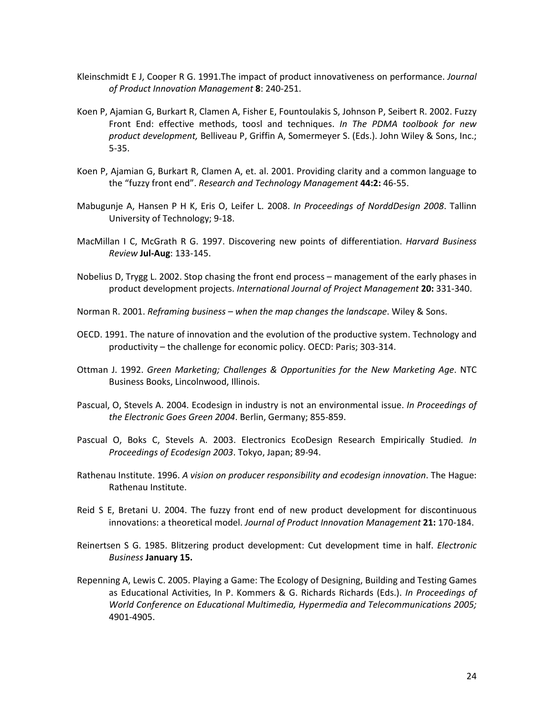- Kleinschmidt E J, Cooper R G. 1991.The impact of product innovativeness on performance. Journal of Product Innovation Management 8: 240-251.
- Koen P, Ajamian G, Burkart R, Clamen A, Fisher E, Fountoulakis S, Johnson P, Seibert R. 2002. Fuzzy Front End: effective methods, toosl and techniques. In The PDMA toolbook for new product development, Belliveau P, Griffin A, Somermeyer S. (Eds.). John Wiley & Sons, Inc.; 5-35.
- Koen P, Ajamian G, Burkart R, Clamen A, et. al. 2001. Providing clarity and a common language to the "fuzzy front end". Research and Technology Management 44:2: 46-55.
- Mabugunje A, Hansen P H K, Eris O, Leifer L. 2008. In Proceedings of NorddDesign 2008. Tallinn University of Technology; 9-18.
- MacMillan I C, McGrath R G. 1997. Discovering new points of differentiation. Harvard Business Review Jul-Aug: 133-145.
- Nobelius D, Trygg L. 2002. Stop chasing the front end process management of the early phases in product development projects. International Journal of Project Management 20: 331-340.
- Norman R. 2001. Reframing business when the map changes the landscape. Wiley & Sons.
- OECD. 1991. The nature of innovation and the evolution of the productive system. Technology and productivity – the challenge for economic policy. OECD: Paris; 303-314.
- Ottman J. 1992. Green Marketing; Challenges & Opportunities for the New Marketing Age. NTC Business Books, Lincolnwood, Illinois.
- Pascual, O, Stevels A. 2004. Ecodesign in industry is not an environmental issue. In Proceedings of the Electronic Goes Green 2004. Berlin, Germany; 855-859.
- Pascual O, Boks C, Stevels A. 2003. Electronics EcoDesign Research Empirically Studied. In Proceedings of Ecodesign 2003. Tokyo, Japan; 89-94.
- Rathenau Institute. 1996. A vision on producer responsibility and ecodesign innovation. The Hague: Rathenau Institute.
- Reid S E, Bretani U. 2004. The fuzzy front end of new product development for discontinuous innovations: a theoretical model. Journal of Product Innovation Management 21: 170-184.
- Reinertsen S G. 1985. Blitzering product development: Cut development time in half. Electronic Business January 15.
- Repenning A, Lewis C. 2005. Playing a Game: The Ecology of Designing, Building and Testing Games as Educational Activities, In P. Kommers & G. Richards Richards (Eds.). In Proceedings of World Conference on Educational Multimedia, Hypermedia and Telecommunications 2005; 4901-4905.